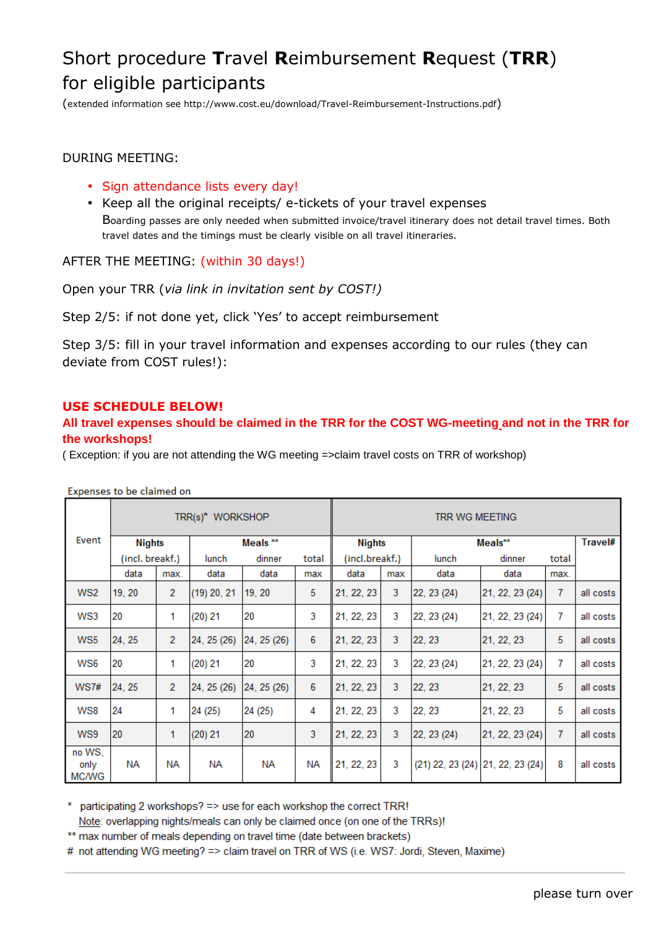## Short procedure **T**ravel **R**eimbursement **R**equest (**TRR**) for eligible participants

(extended information see http://www.cost.eu/download/Travel-Reimbursement-Instructions.pdf)

## DURING MEETING:

- Sign attendance lists every day!
- Keep all the original receipts/ e-tickets of your travel expenses

Boarding passes are only needed when submitted invoice/travel itinerary does not detail travel times. Both travel dates and the timings must be clearly visible on all travel itineraries.

AFTER THE MEETING: (within 30 days!)

Open your TRR (*via link in invitation sent by COST!)* 

Step 2/5: if not done yet, click 'Yes' to accept reimbursement

Step 3/5: fill in your travel information and expenses according to our rules (they can deviate from COST rules!):

## **USE SCHEDULE BELOW!**

## **All travel expenses should be claimed in the TRR for the COST WG-meeting and not in the TRR for the workshops!**

( Exception: if you are not attending the WG meeting =>claim travel costs on TRR of workshop)

|                                | TRR(s)* WORKSHOP |                |                     |                 |     | TRR WG MEETING |     |                                  |                 |       |           |
|--------------------------------|------------------|----------------|---------------------|-----------------|-----|----------------|-----|----------------------------------|-----------------|-------|-----------|
| Event                          | <b>Nights</b>    |                | Meals <sup>**</sup> |                 |     | <b>Nights</b>  |     | Meals**                          |                 |       | Travel#   |
|                                | (incl. breakf.)  |                | lunch               | dinner<br>total |     | (incl.breakf.) |     | lunch                            | dinner          | total |           |
|                                | data             | max.           | data                | data            | max | data           | max | data                             | data            | max.  |           |
| WS <sub>2</sub>                | 19, 20           | $\overline{2}$ | $(19)$ 20, 21       | 19, 20          | 5   | 21, 22, 23     | 3   | 22, 23 (24)                      | 21, 22, 23 (24) | 7     | all costs |
| WS3                            | 20               | 1              | (20) 21             | 20              | 3   | 21, 22, 23     | 3   | 22, 23 (24)                      | 21, 22, 23 (24) | 7     | all costs |
| WS <sub>5</sub>                | 24, 25           | 2              | 24, 25 (26)         | 24, 25 (26)     | 6   | 21, 22, 23     | 3   | 22, 23                           | 21, 22, 23      | 5     | all costs |
| WS6                            | 20               | 1              | (20) 21             | 20              | 3   | 21, 22, 23     | 3   | 22, 23 (24)                      | 21, 22, 23 (24) | 7     | all costs |
| WS7#                           | 24.25            | $\overline{2}$ | 24, 25 (26)         | 24, 25(26)      | 6   | 21, 22, 23     | 3   | 22, 23                           | 21, 22, 23      | 5     | all costs |
| WS8                            | 24               | 1              | 24 (25)             | 24 (25)         | 4   | 21, 22, 23     | 3   | 22, 23                           | 21, 22, 23      | 5     | all costs |
| WS9                            | 20               | 1              | (20) 21             | 20              | 3   | 21, 22, 23     | 3   | 22, 23 (24)                      | 21, 22, 23 (24) | 7     | all costs |
| no WS,<br>only<br><b>MC/WG</b> | NA               | <b>NA</b>      | NА                  | NА              | NА  | 21, 22, 23     | 3   | (21) 22, 23 (24) 21, 22, 23 (24) |                 | 8     | all costs |

Expenses to be claimed on

\* participating 2 workshops? => use for each workshop the correct TRR! Note: overlapping nights/meals can only be claimed once (on one of the TRRs)!

\*\* max number of meals depending on travel time (date between brackets)

# not attending WG meeting? => claim travel on TRR of WS (i.e. WS7: Jordi, Steven, Maxime)